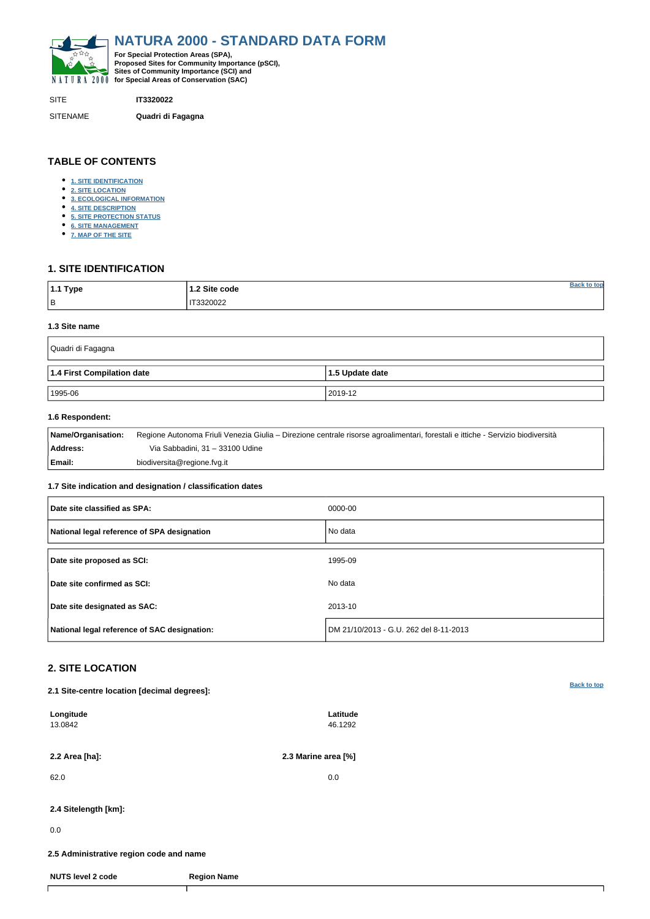<span id="page-0-0"></span>

SITE **IT3320022**

SITENAME **Quadri di Fagagna**

| $ 1.1$ Type | 1.2 Site code |  |
|-------------|---------------|--|
| B           | IT3320022     |  |

# **TABLE OF CONTENTS**

- **[1. SITE IDENTIFICATION](#page-0-1)**
- **[2. SITE LOCATION](#page-0-2)**
- **[3. ECOLOGICAL INFORMATION](#page-1-0)**
- **[4. SITE DESCRIPTION](#page-2-0)**
- **[5. SITE PROTECTION STATUS](#page-3-0)**
- **[6. SITE MANAGEMENT](#page-4-0)**
- **[7. MAP OF THE SITE](#page-4-1)**

## <span id="page-0-1"></span>**1. SITE IDENTIFICATION**

#### **1.3 Site name**

| Quadri di Fagagna          |                         |
|----------------------------|-------------------------|
| 1.4 First Compilation date | $\vert$ 1.5 Update date |
| 1995-06                    | 2019-12                 |

### **1.6 Respondent:**

| Name/Organisation: | Regione Autonoma Friuli Venezia Giulia – Direzione centrale risorse agroalimentari, forestali e ittiche - Servizio biodiversità |
|--------------------|---------------------------------------------------------------------------------------------------------------------------------|
| Address:           | Via Sabbadini, 31 – 33100 Udine                                                                                                 |
| Email:             | biodiversita@regione.fvg.it                                                                                                     |

### **1.7 Site indication and designation / classification dates**

| Date site classified as SPA:                 | 0000-00                                |
|----------------------------------------------|----------------------------------------|
| National legal reference of SPA designation  | No data                                |
| Date site proposed as SCI:                   | 1995-09                                |
| Date site confirmed as SCI:                  | No data                                |
| Date site designated as SAC:                 | 2013-10                                |
| National legal reference of SAC designation: | DM 21/10/2013 - G.U. 262 del 8-11-2013 |

# <span id="page-0-2"></span>**2. SITE LOCATION**

**2.1 Site-centre location [decimal degrees]:**

| Longitude<br>13.0842                    |                    | Latitude<br>46.1292 |  |
|-----------------------------------------|--------------------|---------------------|--|
| 2.2 Area [ha]:                          |                    | 2.3 Marine area [%] |  |
| 62.0                                    |                    | 0.0                 |  |
| 2.4 Sitelength [km]:                    |                    |                     |  |
| 0.0                                     |                    |                     |  |
| 2.5 Administrative region code and name |                    |                     |  |
| <b>NUTS level 2 code</b>                | <b>Region Name</b> |                     |  |
|                                         |                    |                     |  |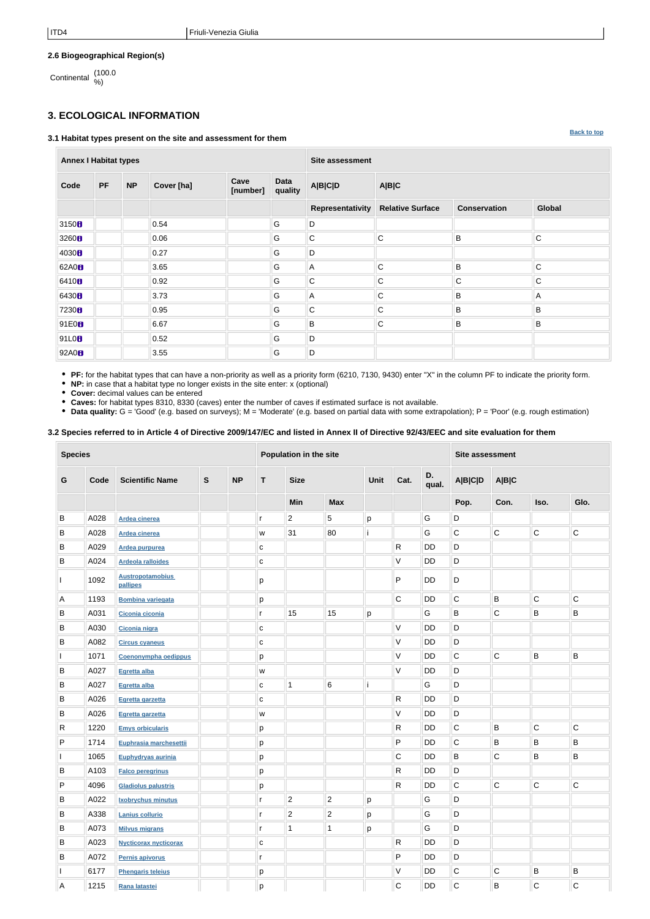### **2.6 Biogeographical Region(s)**

Continental (100.0 %)

# <span id="page-1-0"></span>**3. ECOLOGICAL INFORMATION**

#### **3.1 Habitat types present on the site and assessment for them**

**Annex I Habitat types Site assessment Code PF NP Cover [ha] Cave [number] Data quality A|B|C|D A|B|C Representativity Relative Surface Conservation Global** 3150 **D** 0.54 G D 3260 0.06 G G C C B B C 4030 0.27 G G D 62A0 8 3.65 G A C B B C 6410 0.92 G G C C C C C C 6430 3.73 G A C B A 7230 0.95 G G C C B B B 91E0 6.67 G B C B B 91L0<mark>8</mark> || || ||0.52 || || || ||O 92A0 3.55 G D

**PF:** for the habitat types that can have a non-priority as well as a priority form (6210, 7130, 9430) enter "X" in the column PF to indicate the priority form.

**NP:** in case that a habitat type no longer exists in the site enter: x (optional)

**Cover:** decimal values can be entered

**Caves:** for habitat types 8310, 8330 (caves) enter the number of caves if estimated surface is not available.

• Data quality: G = 'Good' (e.g. based on surveys); M = 'Moderate' (e.g. based on partial data with some extrapolation); P = 'Poor' (e.g. rough estimation)

### **3.2 Species referred to in Article 4 of Directive 2009/147/EC and listed in Annex II of Directive 92/43/EEC and site evaluation for them**

| <b>Species</b> |      |                                     |              |           | Population in the site |                |                |      |              |             | <b>Site assessment</b> |                |              |             |
|----------------|------|-------------------------------------|--------------|-----------|------------------------|----------------|----------------|------|--------------|-------------|------------------------|----------------|--------------|-------------|
| G              | Code | <b>Scientific Name</b>              | $\mathbf{s}$ | <b>NP</b> | T.                     | <b>Size</b>    |                | Unit | Cat.         | D.<br>qual. | <b>A B C D</b>         | A B C          |              |             |
|                |      |                                     |              |           |                        | Min            | <b>Max</b>     |      |              |             | Pop.                   | Con.           | Iso.         | Glo.        |
| B              | A028 | <b>Ardea cinerea</b>                |              |           | r                      | $\overline{2}$ | $\sqrt{5}$     | р    |              | G           | D                      |                |              |             |
| B              | A028 | Ardea cinerea                       |              |           | W                      | 31             | 80             |      |              | G           | $\mathsf C$            | $\overline{C}$ | $\mathsf C$  | $\mathsf C$ |
| B              | A029 | Ardea purpurea                      |              |           | $\mathbf{C}$           |                |                |      | R            | <b>DD</b>   | D                      |                |              |             |
| B              | A024 | <b>Ardeola ralloides</b>            |              |           | $\mathbf{C}$           |                |                |      | V            | DD          | D                      |                |              |             |
|                | 1092 | <b>Austropotamobius</b><br>pallipes |              |           | р                      |                |                |      | P            | DD          | D                      |                |              |             |
| Α              | 1193 | <b>Bombina variegata</b>            |              |           | р                      |                |                |      | $\mathsf C$  | <b>DD</b>   | $\mathsf C$            | $\sf B$        | $\mathsf{C}$ | $\mathsf C$ |
| В              | A031 | Ciconia ciconia                     |              |           | r                      | 15             | 15             | р    |              | G           | B                      | $\overline{C}$ | B            | B           |
| B              | A030 | Ciconia nigra                       |              |           | $\mathbf C$            |                |                |      | V            | <b>DD</b>   | D                      |                |              |             |
| B              | A082 | <b>Circus cyaneus</b>               |              |           | C                      |                |                |      | V            | <b>DD</b>   | D                      |                |              |             |
|                | 1071 | Coenonympha oedippus                |              |           | p                      |                |                |      | V            | DD          | $\mathsf C$            | $\mathsf C$    | B            | B           |
| В              | A027 | Egretta alba                        |              |           | W                      |                |                |      | V            | <b>DD</b>   | D                      |                |              |             |
| В              | A027 | Egretta alba                        |              |           | $\mathbf c$            | -1             | $\,6$          |      |              | G           | D                      |                |              |             |
| B              | A026 | Egretta garzetta                    |              |           | $\mathbf C$            |                |                |      | R            | <b>DD</b>   | D                      |                |              |             |
| B              | A026 | Egretta garzetta                    |              |           | W                      |                |                |      | V            | DD          | D                      |                |              |             |
| R              | 1220 | <b>Emys orbicularis</b>             |              |           | р                      |                |                |      | ${\sf R}$    | DD          | $\mathsf C$            | $\sf B$        | $\mathsf C$  | $\mathsf C$ |
| P              | 1714 | Euphrasia marchesettii              |              |           | р                      |                |                |      | P            | DD          | $\mathsf C$            | B              | B            | B           |
|                | 1065 | Euphydryas aurinia                  |              |           | р                      |                |                |      | $\mathsf C$  | DD          | B                      | $\overline{C}$ | $\sf B$      | B           |
| В              | A103 | <b>Falco peregrinus</b>             |              |           | р                      |                |                |      | R            | DD          | D                      |                |              |             |
| P              | 4096 | <b>Gladiolus palustris</b>          |              |           | p                      |                |                |      | R            | <b>DD</b>   | C                      | C              | С            | C           |
| В              | A022 | <b>Ixobrychus minutus</b>           |              |           | r                      | $\overline{2}$ | $\overline{2}$ | p    |              | G           | D                      |                |              |             |
| B              | A338 | Lanius collurio                     |              |           | r                      | $\overline{2}$ | $\overline{2}$ | p    |              | G           | D                      |                |              |             |
| B              | A073 | <b>Milvus migrans</b>               |              |           | r                      | $\mathbf 1$    | 1              | p    |              | G           | $\mathsf D$            |                |              |             |
| В              | A023 | <b>Nycticorax nycticorax</b>        |              |           | $\mathbf{C}$           |                |                |      | $\mathsf{R}$ | DD          | D                      |                |              |             |
| В              | A072 | Pernis apivorus                     |              |           | r                      |                |                |      | P            | DD          | D                      |                |              |             |
|                | 6177 | <b>Phengaris teleius</b>            |              |           | p                      |                |                |      | V            | <b>DD</b>   | $\mathsf C$            | $\overline{C}$ | B            | $\sf B$     |
| Α              | 1215 | Rana latastei                       |              |           | p                      |                |                |      | $\mathbf C$  | DD          | $\mathsf C$            | B              | $\mathsf{C}$ | $\mathsf C$ |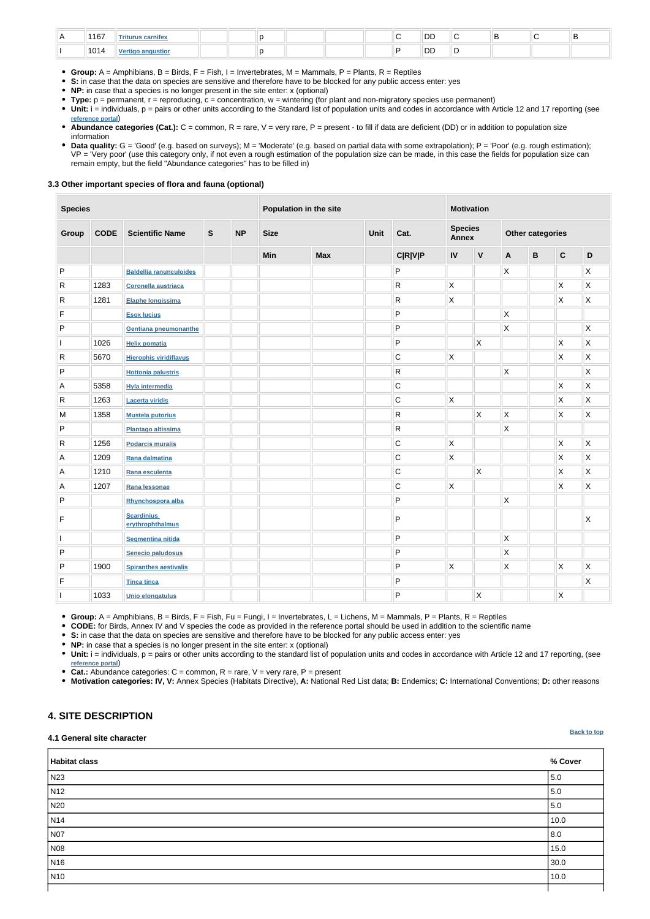| 1167 | riturus carnifex |  |  |  | DD |  |  |
|------|------------------|--|--|--|----|--|--|
| 1014 | $\mathbf{v}$     |  |  |  | DD |  |  |

- **Group:** A = Amphibians, B = Birds, F = Fish, I = Invertebrates, M = Mammals, P = Plants, R = Reptiles
- **S:** in case that the data on species are sensitive and therefore have to be blocked for any public access enter: yes
- **NP:** in case that a species is no longer present in the site enter: x (optional)
- **Type:** p = permanent, r = reproducing, c = concentration, w = wintering (for plant and non-migratory species use permanent)
- Unit: i = individuals, p = pairs or other units according to the Standard list of population units and codes in accordance with Article 12 and 17 reporting (see **[reference portal](http://bd.eionet.europa.eu/activities/Natura_2000/reference_portal)**)
- Abundance categories (Cat.): C = common, R = rare, V = very rare, P = present to fill if data are deficient (DD) or in addition to population size information
- Data quality: G = 'Good' (e.g. based on surveys); M = 'Moderate' (e.g. based on partial data with some extrapolation); P = 'Poor' (e.g. rough estimation); VP = 'Very poor' (use this category only, if not even a rough estimation of the population size can be made, in this case the fields for population size can remain empty, but the field "Abundance categories" has to be filled in)

#### **3.3 Other important species of flora and fauna (optional)**

• Unit: i = individuals, p = pairs or other units according to the standard list of population units and codes in accordance with Article 12 and 17 reporting, (see **[reference portal](http://bd.eionet.europa.eu/activities/Natura_2000/reference_portal)**)

| <b>Species</b>  |             |                                       | Population in the site |           |             |            | <b>Motivation</b> |                |                                |                         |                         |              |                           |                         |
|-----------------|-------------|---------------------------------------|------------------------|-----------|-------------|------------|-------------------|----------------|--------------------------------|-------------------------|-------------------------|--------------|---------------------------|-------------------------|
| Group           | <b>CODE</b> | <b>Scientific Name</b>                | $\mathsf{s}$           | <b>NP</b> | <b>Size</b> |            | Unit<br>Cat.      |                | <b>Species</b><br><b>Annex</b> |                         | <b>Other categories</b> |              |                           |                         |
|                 |             |                                       |                        |           | Min         | <b>Max</b> |                   | <b>C R V P</b> | IV                             | $\mathsf{V}$            | A                       | $\, {\bf B}$ | $\mathbf C$               | D                       |
| P               |             | <b>Baldellia ranunculoides</b>        |                        |           |             |            |                   | ${\sf P}$      |                                |                         | X                       |              |                           | $\mathsf X$             |
| $\mathsf{R}$    | 1283        | Coronella austriaca                   |                        |           |             |            |                   | R              | $\mathsf{X}$                   |                         |                         |              | $\boldsymbol{\mathsf{X}}$ | $\mathsf X$             |
| $\vert R \vert$ | 1281        | Elaphe longissima                     |                        |           |             |            |                   | R              | X                              |                         |                         |              | $\pmb{\times}$            | $\mathsf X$             |
| $\mathsf F$     |             | <b>Esox lucius</b>                    |                        |           |             |            |                   | P              |                                |                         | $\mathsf{X}$            |              |                           |                         |
| ${\sf P}$       |             | Gentiana pneumonanthe                 |                        |           |             |            |                   | P              |                                |                         | X                       |              |                           | $\mathsf{X}$            |
|                 | 1026        | <b>Helix pomatia</b>                  |                        |           |             |            |                   | P              |                                | $\mathsf{X}$            |                         |              | Χ                         | $\mathsf X$             |
| $\mathsf{R}$    | 5670        | <b>Hierophis viridiflavus</b>         |                        |           |             |            |                   | $\mathsf C$    | $\mathsf{X}$                   |                         |                         |              | X.                        | $\mathsf{\overline{X}}$ |
| P               |             | <b>Hottonia palustris</b>             |                        |           |             |            |                   | R              |                                |                         | $\mathsf X$             |              |                           | X                       |
| Α               | 5358        | <b>Hyla intermedia</b>                |                        |           |             |            |                   | С              |                                |                         |                         |              | X                         | X                       |
| ${\sf R}$       | 1263        | <b>Lacerta viridis</b>                |                        |           |             |            |                   | $\mathsf C$    | $\mathsf{X}$                   |                         |                         |              | X                         | $\mathsf X$             |
| M               | 1358        | <b>Mustela putorius</b>               |                        |           |             |            |                   | R              |                                | $\mathsf{\overline{X}}$ | $\mathsf X$             |              | X                         | $\mathsf X$             |
| P               |             | Plantago altissima                    |                        |           |             |            |                   | ${\sf R}$      |                                |                         | $\mathsf{\overline{X}}$ |              |                           |                         |
| $\vert R \vert$ | 1256        | <b>Podarcis muralis</b>               |                        |           |             |            |                   | $\mathbf C$    | $\mathsf{X}$                   |                         |                         |              | $\boldsymbol{\mathsf{X}}$ | $\mathsf X$             |
| Α               | 1209        | Rana dalmatina                        |                        |           |             |            |                   | $\mathsf C$    | X                              |                         |                         |              | $\pmb{\times}$            | $\mathsf X$             |
| A               | 1210        | Rana esculenta                        |                        |           |             |            |                   | $\mathbf C$    |                                | $\mathsf{\overline{X}}$ |                         |              | X                         | $\mathsf X$             |
| $\overline{A}$  | 1207        | Rana lessonae                         |                        |           |             |            |                   | $\mathsf C$    | X                              |                         |                         |              | X                         | $\mathsf X$             |
| P               |             | Rhynchospora alba                     |                        |           |             |            |                   | P              |                                |                         | X                       |              |                           |                         |
| F               |             | <b>Scardinius</b><br>erythrophthalmus |                        |           |             |            |                   | P              |                                |                         |                         |              |                           | X                       |
|                 |             | <b>Segmentina nitida</b>              |                        |           |             |            |                   | P              |                                |                         | $\pmb{\mathsf{X}}$      |              |                           |                         |
| P               |             | Senecio paludosus                     |                        |           |             |            |                   | $\mathsf P$    |                                |                         | $\mathsf{X}$            |              |                           |                         |
| ${\sf P}$       | 1900        | <b>Spiranthes aestivalis</b>          |                        |           |             |            |                   | P              | $\mathsf{X}$                   |                         | $\mathsf{X}$            |              | $\mathsf{X}$              | $\mathsf{X}$            |
| F               |             | <b>Tinca tinca</b>                    |                        |           |             |            |                   | P              |                                |                         |                         |              |                           | $\mathsf{X}$            |
|                 | 1033        | Unio elongatulus                      |                        |           |             |            |                   | $\sf P$        |                                | $\mathsf{X}$            |                         |              | X                         |                         |

**Group:** A = Amphibians, B = Birds, F = Fish, Fu = Fungi, I = Invertebrates, L = Lichens, M = Mammals, P = Plants, R = Reptiles

**CODE:** for Birds, Annex IV and V species the code as provided in the reference portal should be used in addition to the scientific name

**S:** in case that the data on species are sensitive and therefore have to be blocked for any public access enter: yes

**NP:** in case that a species is no longer present in the site enter: x (optional)

**Cat.:** Abundance categories: C = common, R = rare, V = very rare, P = present

**Motivation categories: IV, V:** Annex Species (Habitats Directive), **A:** National Red List data; **B:** Endemics; **C:** International Conventions; **D:** other reasons

# <span id="page-2-0"></span>**4. SITE DESCRIPTION**

#### **4.1 General site character**

| Habitat class    | % Cover |
|------------------|---------|
| N23              | 5.0     |
| N <sub>12</sub>  | 5.0     |
| N20              | 5.0     |
| N <sub>14</sub>  | 10.0    |
| N07              | 8.0     |
| N08              | 15.0    |
| N <sub>16</sub>  | 30.0    |
| $\overline{N10}$ | 10.0    |
|                  |         |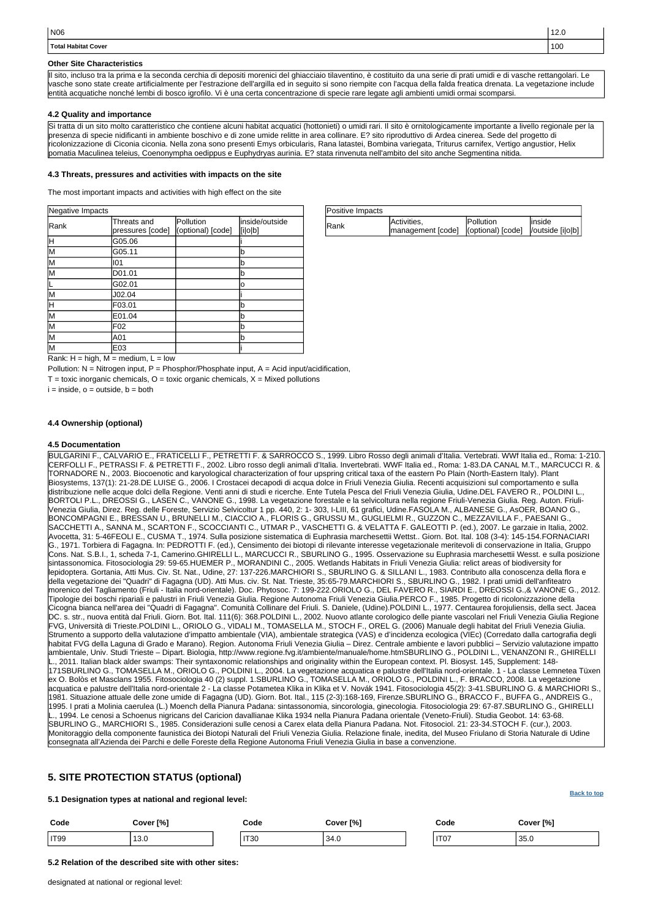| Positive Impacts |                                                           |                   |         |
|------------------|-----------------------------------------------------------|-------------------|---------|
| Rank             | Activities,                                               | <b>IPollution</b> | linside |
|                  | management [code]   (optional) [code]   / outside [i o b] |                   |         |

Rank:  $H = high$ ,  $M = medium$ ,  $L = low$ 

Pollution:  $N = N$ itrogen input, P = Phosphor/Phosphate input, A = Acid input/acidification,

 $T =$  toxic inorganic chemicals,  $O =$  toxic organic chemicals,  $X =$  Mixed pollutions

 $i = inside, o = outside, b = both$ 

| Negative Impacts        |                                 |                                |                            |
|-------------------------|---------------------------------|--------------------------------|----------------------------|
| Rank                    | Threats and<br>pressures [code] | Pollution<br>(optional) [code] | linside/outside<br>[i o b] |
| H                       | G05.06                          |                                |                            |
| M                       | G05.11                          |                                | b                          |
| lм                      | 101                             |                                | b                          |
| lм                      | D01.01                          |                                | b                          |
| IL                      | G02.01                          |                                | o                          |
| lм                      | J02.04                          |                                |                            |
| ℍ                       | F03.01                          |                                | b                          |
| $\overline{\mathsf{M}}$ | E01.04                          |                                | b                          |
| M                       | F <sub>02</sub>                 |                                | b                          |
| İМ                      | A01                             |                                | ď                          |
| lм                      | E03                             |                                |                            |

| N06                 | 14.U |
|---------------------|------|
| Total Habitat Cover | 100  |

#### **Other Site Characteristics**

Il sito, incluso tra la prima e la seconda cerchia di depositi morenici del ghiacciaio tilaventino, è costituito da una serie di prati umidi e di vasche rettangolari. Le vasche sono state create artificialmente per l'estrazione dell'argilla ed in seguito si sono riempite con l'acqua della falda freatica drenata. La vegetazione include entità acquatiche nonché lembi di bosco igrofilo. Vi è una certa concentrazione di specie rare legate agli ambienti umidi ormai scomparsi.

### **4.2 Quality and importance**

Si tratta di un sito molto caratteristico che contiene alcuni habitat acquatici (hottonieti) o umidi rari. Il sito è ornitologicamente importante a livello regionale per la presenza di specie nidificanti in ambiente boschivo e di zone umide relitte in area collinare. E? sito riproduttivo di Ardea cinerea. Sede del progetto di ricolonizzazione di Ciconia ciconia. Nella zona sono presenti Emys orbicularis, Rana latastei, Bombina variegata, Triturus carnifex, Vertigo angustior, Helix pomatia Maculinea teleius, Coenonympha oedippus e Euphydryas aurinia. E? stata rinvenuta nell'ambito del sito anche Segmentina nitida.

### **4.3 Threats, pressures and activities with impacts on the site**

The most important impacts and activities with high effect on the site

### **4.4 Ownership (optional)**

### **4.5 Documentation**

BULGARINI F., CALVARIO E., FRATICELLI F., PETRETTI F. & SARROCCO S., 1999. Libro Rosso degli animali d'Italia. Vertebrati. WWf Italia ed., Roma: 1-210. CERFOLLI F., PETRASSI F. & PETRETTI F., 2002. Libro rosso degli animali d'Italia. Invertebrati. WWF Italia ed., Roma: 1-83.DA CANAL M.T., MARCUCCI R. & TORNADORE N., 2003. Biocoenotic and karyological characterization of four upspring critical taxa of the eastern Po Plain (North-Eastern Italy). Plant Biosystems, 137(1): 21-28.DE LUISE G., 2006. I Crostacei decapodi di acqua dolce in Friuli Venezia Giulia. Recenti acquisizioni sul comportamento e sulla distribuzione nelle acque dolci della Regione. Venti anni di studi e ricerche. Ente Tutela Pesca del Friuli Venezia Giulia, Udine.DEL FAVERO R., POLDINI L., BORTOLI P.L., DREOSSI G., LASEN C., VANONE G., 1998. La vegetazione forestale e la selvicoltura nella regione Friuli-Venezia Giulia. Reg. Auton. Friuli-Venezia Giulia, Direz. Reg. delle Foreste, Servizio Selvicoltur 1 pp. 440, 2: 1- 303, I-LIII, 61 grafici, Udine.FASOLA M., ALBANESE G., AsOER, BOANO G., BONCOMPAGNI E., BRESSAN U., BRUNELLI M., CIACCIO A., FLORIS G., GRUSSU M., GUGLIELMI R., GUZZON C., MEZZAVILLA F., PAESANI G., SACCHETTI A., SANNA M., SCARTON F., SCOCCIANTI C., UTMAR P., VASCHETTI G. & VELATTA F. GALEOTTI P. (ed.), 2007. Le garzaie in Italia, 2002. Avocetta, 31: 5-46FEOLI E., CUSMA T., 1974. Sulla posizione sistematica di Euphrasia marchesettii Wettst.. Giorn. Bot. Ital. 108 (3-4): 145-154.FORNACIARI G., 1971. Torbiera di Fagagna. In: PEDROTTI F. (ed.), Censimento dei biotopi di rilevante interesse vegetazionale meritevoli di conservazione in Italia, Gruppo Cons. Nat. S.B.I., 1, scheda 7-1, Camerino.GHIRELLI L., MARCUCCI R., SBURLINO G., 1995. Osservazione su Euphrasia marchesettii Wesst. e sulla posizione sintassonomica. Fitosociologia 29: 59-65.HUEMER P., MORANDINI C., 2005. Wetlands Habitats in Friuli Venezia Giulia: relict areas of biodiversity for lepidoptera. Gortania, Atti Mus. Civ. St. Nat., Udine, 27: 137-226.MARCHIORI S., SBURLINO G. & SILLANI L., 1983. Contributo alla conoscenza della flora e della vegetazione dei "Quadri" di Fagagna (UD). Atti Mus. civ. St. Nat. Trieste, 35:65-79.MARCHIORI S., SBURLINO G., 1982. I prati umidi dell'anfiteatro morenico del Tagliamento (Friuli - Italia nord-orientale). Doc. Phytosoc. 7: 199-222.ORIOLO G., DEL FAVERO R., SIARDI E., DREOSSI G.,& VANONE G., 2012. Tipologie dei boschi ripariali e palustri in Friuli Venezia Giulia. Regione Autonoma Friuli Venezia Giulia.PERCO F., 1985. Progetto di ricolonizzazione della Cicogna bianca nell'area dei "Quadri di Fagagna". Comunità Collinare del Friuli. S. Daniele, (Udine).POLDINI L., 1977. Centaurea forojuliensis, della sect. Jacea DC. s. str., nuova entità dal Friuli. Giorn. Bot. Ital. 111(6): 368.POLDINI L., 2002. Nuovo atlante corologico delle piante vascolari nel Friuli Venezia Giulia Regione FVG, Università di Trieste.POLDINI L., ORIOLO G., VIDALI M., TOMASELLA M., STOCH F., OREL G. (2006) Manuale degli habitat del Friuli Venezia Giulia. Strumento a supporto della valutazione d'impatto ambientale (VIA), ambientale strategica (VAS) e d'incidenza ecologica (VIEc) (Corredato dalla cartografia degli habitat FVG della Laguna di Grado e Marano). Region. Autonoma Friuli Venezia Giulia – Direz. Centrale ambiente e lavori pubblici – Servizio valutazione impatto ambientale, Univ. Studi Trieste – Dipart. Biologia, http://www.regione.fvg.it/ambiente/manuale/home.htmSBURLINO G., POLDINI L., VENANZONI R., GHIRELLI L., 2011. Italian black alder swamps: Their syntaxonomic relationships and originality within the European context. Pl. Biosyst. 145, Supplement: 148- 171SBURLINO G., TOMASELLA M., ORIOLO G., POLDINI L., 2004. La vegetazione acquatica e palustre dell'Italia nord-orientale. 1 - La classe Lemnetea Tüxen ex O. Bolòs et Masclans 1955. Fitosociologia 40 (2) suppl. 1.SBURLINO G., TOMASELLA M., ORIOLO G., POLDINI L., F. BRACCO, 2008. La vegetazione acquatica e palustre dell'Italia nord-orientale 2 - La classe Potametea Klika in Klika et V. Novák 1941. Fitosociologia 45(2): 3-41.SBURLINO G. & MARCHIORI S., 1981. Situazione attuale delle zone umide di Fagagna (UD). Giorn. Bot. Ital., 115 (2-3):168-169, Firenze.SBURLINO G., BRACCO F., BUFFA G., ANDREIS G., 1995. I prati a Molinia caerulea (L.) Moench della Pianura Padana: sintassonomia, sincorologia, ginecologia. Fitosociologia 29: 67-87.SBURLINO G., GHIRELLI L., 1994. Le cenosi a Schoenus nigricans del Caricion davallianae Klika 1934 nella Pianura Padana orientale (Veneto-Friuli). Studia Geobot. 14: 63-68. SBURLINO G., MARCHIORI S., 1985. Considerazioni sulle cenosi a Carex elata della Pianura Padana. Not. Fitosociol. 21: 23-34.STOCH F. (cur.), 2003. Monitoraggio della componente faunistica dei Biotopi Naturali del Friuli Venezia Giulia. Relazione finale, inedita, del Museo Friulano di Storia Naturale di Udine consegnata all'Azienda dei Parchi e delle Foreste della Regione Autonoma Friuli Venezia Giulia in base a convenzione.

# <span id="page-3-0"></span>**5. SITE PROTECTION STATUS (optional)**

**5.1 Designation types at national and regional level:**

| Code        | Cover [%] | Code        | Cover <sup>[%]</sup> | Code             | Cover [%] |
|-------------|-----------|-------------|----------------------|------------------|-----------|
| <b>IT99</b> | 13.0      | <b>IT30</b> | 210<br>- J4.U        | IT <sub>07</sub> | 35.0      |

**5.2 Relation of the described site with other sites:**

designated at national or regional level: